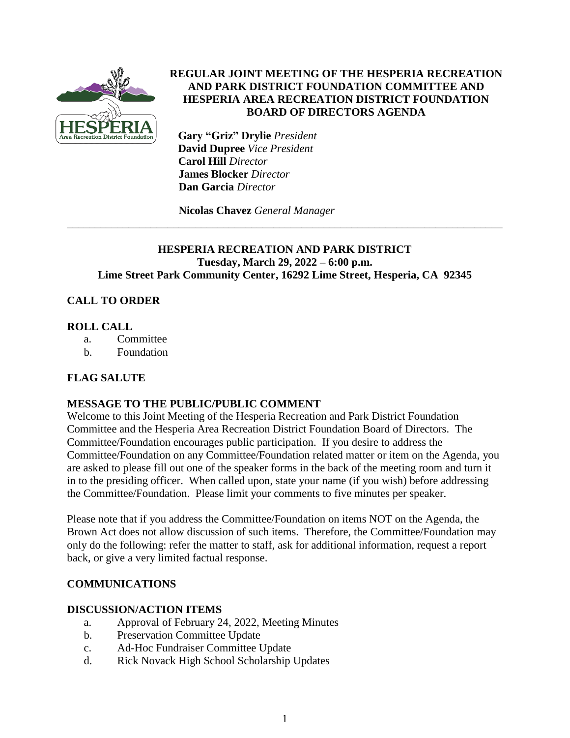

## **REGULAR JOINT MEETING OF THE HESPERIA RECREATION AND PARK DISTRICT FOUNDATION COMMITTEE AND HESPERIA AREA RECREATION DISTRICT FOUNDATION BOARD OF DIRECTORS AGENDA**

 **Gary "Griz" Drylie** *President*  **David Dupree** *Vice President* **Carol Hill** *Director*  **James Blocker** *Director*  **Dan Garcia** *Director*

**Nicolas Chavez** *General Manager*

## **HESPERIA RECREATION AND PARK DISTRICT Tuesday, March 29, 2022 – 6:00 p.m. Lime Street Park Community Center, 16292 Lime Street, Hesperia, CA 92345**

\_\_\_\_\_\_\_\_\_\_\_\_\_\_\_\_\_\_\_\_\_\_\_\_\_\_\_\_\_\_\_\_\_\_\_\_\_\_\_\_\_\_\_\_\_\_\_\_\_\_\_\_\_\_\_\_\_\_\_\_\_\_\_\_\_\_\_\_\_\_\_\_\_\_\_\_\_\_

# **CALL TO ORDER**

## **ROLL CALL**

- a. Committee
- b. Foundation

# **FLAG SALUTE**

# **MESSAGE TO THE PUBLIC/PUBLIC COMMENT**

Welcome to this Joint Meeting of the Hesperia Recreation and Park District Foundation Committee and the Hesperia Area Recreation District Foundation Board of Directors. The Committee/Foundation encourages public participation. If you desire to address the Committee/Foundation on any Committee/Foundation related matter or item on the Agenda, you are asked to please fill out one of the speaker forms in the back of the meeting room and turn it in to the presiding officer. When called upon, state your name (if you wish) before addressing the Committee/Foundation. Please limit your comments to five minutes per speaker.

Please note that if you address the Committee/Foundation on items NOT on the Agenda, the Brown Act does not allow discussion of such items. Therefore, the Committee/Foundation may only do the following: refer the matter to staff, ask for additional information, request a report back, or give a very limited factual response.

# **COMMUNICATIONS**

### **DISCUSSION/ACTION ITEMS**

- a. Approval of February 24, 2022, Meeting Minutes
- b. Preservation Committee Update
- c. Ad-Hoc Fundraiser Committee Update
- d. Rick Novack High School Scholarship Updates